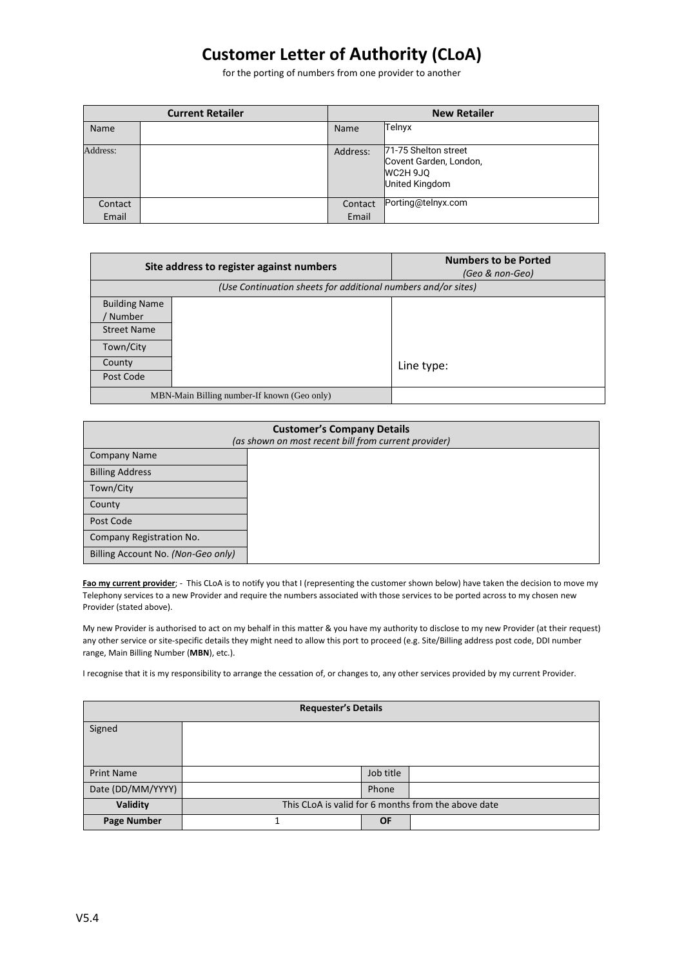## **Customer Letter of Authority (CLoA)**

for the porting of numbers from one provider to another

| <b>Current Retailer</b> |  | <b>New Retailer</b> |                                                                              |
|-------------------------|--|---------------------|------------------------------------------------------------------------------|
| Name                    |  | Name                | Telnyx                                                                       |
| Address:                |  | Address:            | 71-75 Shelton street<br>Covent Garden, London,<br>WC2H 9JQ<br>United Kingdom |
| Contact                 |  | Contact             | Porting@telnyx.com                                                           |
| Email                   |  | Email               |                                                                              |

|                                                               | Site address to register against numbers | <b>Numbers to be Ported</b><br>(Geo & non-Geo) |  |
|---------------------------------------------------------------|------------------------------------------|------------------------------------------------|--|
| (Use Continuation sheets for additional numbers and/or sites) |                                          |                                                |  |
| <b>Building Name</b><br><b>Number</b><br><b>Street Name</b>   |                                          |                                                |  |
| Town/City                                                     |                                          |                                                |  |
| County                                                        |                                          | Line type:                                     |  |
| Post Code<br>MBN-Main Billing number-If known (Geo only)      |                                          |                                                |  |

| <b>Customer's Company Details</b><br>(as shown on most recent bill from current provider) |  |  |  |  |
|-------------------------------------------------------------------------------------------|--|--|--|--|
| <b>Company Name</b>                                                                       |  |  |  |  |
| <b>Billing Address</b>                                                                    |  |  |  |  |
| Town/City                                                                                 |  |  |  |  |
| County                                                                                    |  |  |  |  |
| Post Code                                                                                 |  |  |  |  |
| Company Registration No.                                                                  |  |  |  |  |
| Billing Account No. (Non-Geo only)                                                        |  |  |  |  |

Fao my current provider; - This CLoA is to notify you that I (representing the customer shown below) have taken the decision to move my Telephony services to a new Provider and require the numbers associated with those services to be ported across to my chosen new Provider (stated above).

My new Provider is authorised to act on my behalf in this matter & you have my authority to disclose to my new Provider (at their request) any other service or site-specific details they might need to allow this port to proceed (e.g. Site/Billing address post code, DDI number range, Main Billing Number (**MBN**), etc.).

I recognise that it is my responsibility to arrange the cessation of, or changes to, any other services provided by my current Provider.

| <b>Requester's Details</b> |                                                     |           |  |  |  |
|----------------------------|-----------------------------------------------------|-----------|--|--|--|
| Signed                     |                                                     |           |  |  |  |
|                            |                                                     |           |  |  |  |
| <b>Print Name</b>          |                                                     | Job title |  |  |  |
| Date (DD/MM/YYYY)          |                                                     | Phone     |  |  |  |
| Validity                   | This CLoA is valid for 6 months from the above date |           |  |  |  |
| <b>Page Number</b>         |                                                     | <b>OF</b> |  |  |  |